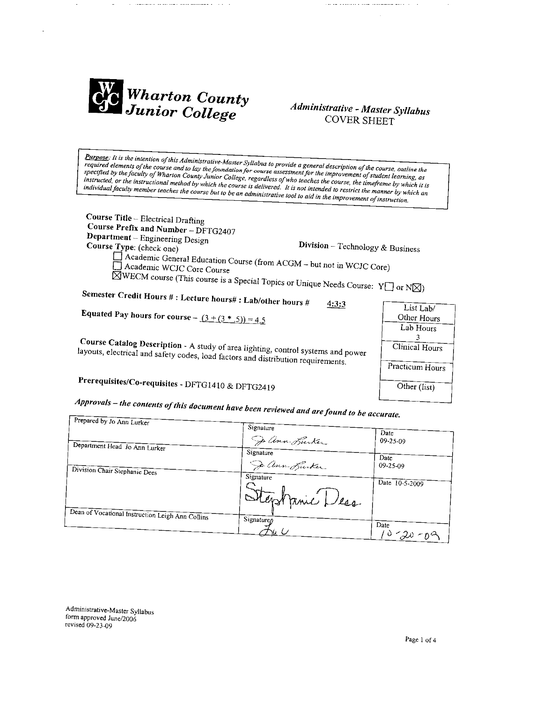

## Administrative - Master Syllabus **COVER SHEET**

Purpose: It is the intention of this Administrative-Master Syllabus to provide a general description of the course, outline the required elements of the course and to lay the foundation for course assessment for the improvement of student learning, as specified by the faculty of Wharton County Junior College, regardless of who teaches the course, the timeframe by which it is instructed, or the instructional method by which the course is delivered. It is not intended to restrict the manner by which an individual faculty member teaches the course but to be an administrative tool to aid in the improvement of instruction.

Course Title - Electrical Drafting Course Prefix and Number - DFTG2407 Department - Engineering Design Division -- Technology & Business Course Type: (check one) Academic General Education Course (from ACGM – but not in WCJC Core) Academic WCJC Core Course  $\overline{\boxtimes}$ WECM course (This course is a Special Topics or Unique Needs Course: Y $\Box$  or N $\boxtimes$ )

Semester Credit Hours #: Lecture hours#: Lab/other hours #  $4:3:3$ 

**Equated Pay hours for course -**  $(3 + (3 * .5)) = 4.5$ 

Course Catalog Description - A study of area lighting, control systems and power layouts, electrical and safety codes, load factors and distribution requirements.

# Prerequisites/Co-requisites - DFTG1410 & DFTG2419

Approvals – the contents of this document have been reviewed and are found to be accurate.

|                                                  | $\ldots$ to be accurate. |                        |  |  |
|--------------------------------------------------|--------------------------|------------------------|--|--|
| Prepared by Jo Ann Lurker                        | Signature                | Date                   |  |  |
| Department Head Jo Ann Lurker                    | Dann Burker<br>Signature | $09 - 25 - 09$         |  |  |
| Division Chair Stephanie Dees                    | De ann Burker            | Date<br>$09 - 25 - 09$ |  |  |
|                                                  | Signature                | Date 10-5-2009         |  |  |
|                                                  | Stephanic Dess           |                        |  |  |
| Dean of Vocational Instruction Leigh Ann Collins | Signature <sub>n</sub>   | Date                   |  |  |
|                                                  |                          | $10 - 20 - 09$         |  |  |

Administrative-Master Syllabus form approved June/2006 revised 09-23-09

| List Lab/       |  |
|-----------------|--|
| Other Hours     |  |
| Lab Hours       |  |
| 3               |  |
| Clinical Hours  |  |
| Practicum Hours |  |
| Other (list)    |  |
|                 |  |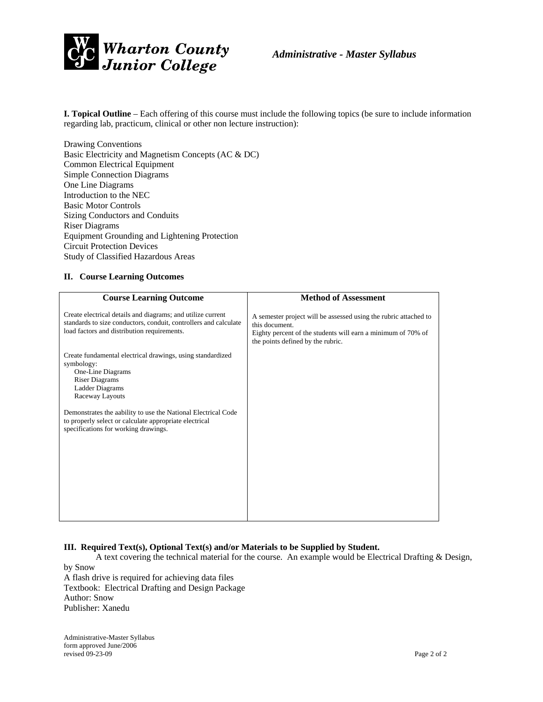

**I. Topical Outline** – Each offering of this course must include the following topics (be sure to include information regarding lab, practicum, clinical or other non lecture instruction):

Drawing Conventions Basic Electricity and Magnetism Concepts (AC & DC) Common Electrical Equipment Simple Connection Diagrams One Line Diagrams Introduction to the NEC Basic Motor Controls Sizing Conductors and Conduits Riser Diagrams Equipment Grounding and Lightening Protection Circuit Protection Devices Study of Classified Hazardous Areas

#### **II. Course Learning Outcomes**

| <b>Course Learning Outcome</b>                                                                                                                                                 | <b>Method of Assessment</b>                                                                                                                                                             |  |  |  |  |
|--------------------------------------------------------------------------------------------------------------------------------------------------------------------------------|-----------------------------------------------------------------------------------------------------------------------------------------------------------------------------------------|--|--|--|--|
| Create electrical details and diagrams; and utilize current<br>standards to size conductors, conduit, controllers and calculate<br>load factors and distribution requirements. | A semester project will be assessed using the rubric attached to<br>this document.<br>Eighty percent of the students will earn a minimum of 70% of<br>the points defined by the rubric. |  |  |  |  |
| Create fundamental electrical drawings, using standardized<br>symbology:<br>One-Line Diagrams<br><b>Riser Diagrams</b><br>Ladder Diagrams<br>Raceway Layouts                   |                                                                                                                                                                                         |  |  |  |  |
| Demonstrates the aability to use the National Electrical Code<br>to properly select or calculate appropriate electrical<br>specifications for working drawings.                |                                                                                                                                                                                         |  |  |  |  |

### **III. Required Text(s), Optional Text(s) and/or Materials to be Supplied by Student.**

 A text covering the technical material for the course. An example would be Electrical Drafting & Design, by Snow

A flash drive is required for achieving data files Textbook: Electrical Drafting and Design Package Author: Snow Publisher: Xanedu

Administrative-Master Syllabus form approved June/2006 revised 09-23-09 Page 2 of 2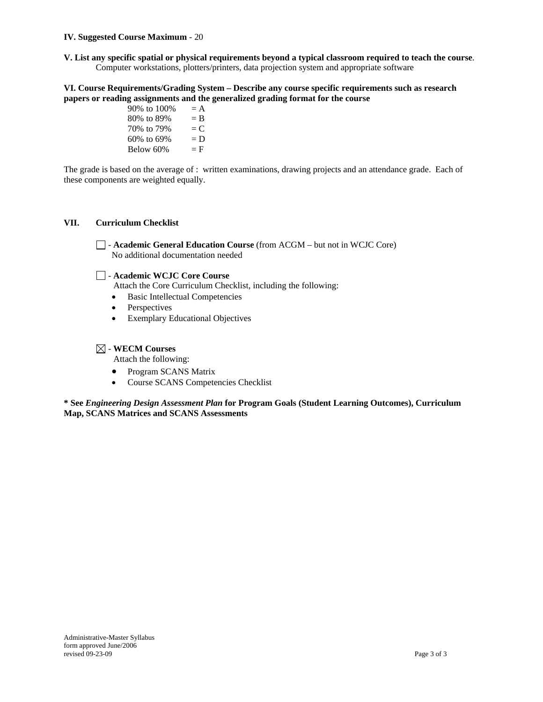### **. Suggested Course Maximum** - 20 **IV**

**V.** List any specific spatial or physical requirements beyond a typical classroom required to teach the course. Computer workstations, plotters/printers, data projection system and appropriate software

#### VI. Course Requirements/Grading System – Describe any course specific requirements such as research papers or reading assignments and the generalized grading format for the course

Below  $60\%$  = F 90% to  $100% = A$ 80% to 89% = B 70\% to 79\% =  $C$ 60% to 69% =  $D$ 

The grade is based on the average of : written examinations, drawing projects and an attendance grade. Each of these components are weighted equally.

#### **II. Curriculum Checklist V**

- **Academic General Education Course** (from ACGM – but not in WCJC Core) No additional documentation needed

### - **Academic WCJC Core Course**

Attach the Core Curriculum Checklist, including the following:

- Basic Intellectual Competencies
- Perspectives
- Exemplary Educational Objectives

### - **WECM Courses**

Attach the following:

- Program SCANS Matrix
- Course SCANS Competencies Checklist

**gram Goals (Student Learning Outcomes), Curriculum \* See** *Engineering Design Assessment Plan* **for ProMap, SCANS Matrices and SCANS Assessments**